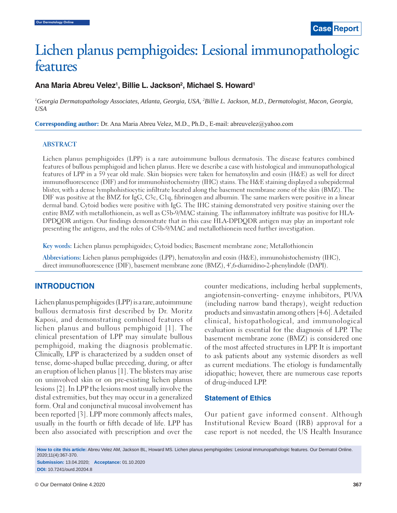# Lichen planus pemphigoides: Lesional immunopathologic features

## Ana Maria Abreu Velez<sup>1</sup>, Billie L. Jackson<sup>2</sup>, Michael S. Howard<sup>1</sup>

*1 Georgia Dermatopathology Associates, Atlanta, Georgia, USA, 2 Billie L. Jackson, M.D., Dermatologist, Macon, Georgia, USA*

**Corresponding author:** Dr. Ana Maria Abreu Velez, M.D., Ph.D., E-mail: abreuvelez@yahoo.com

#### **ABSTRACT**

Lichen planus pemphigoides (LPP) is a rare autoimmune bullous dermatosis. The disease features combined features of bullous pemphigoid and lichen planus. Here we describe a case with histological and immunopathological features of LPP in a 59 year old male. Skin biopsies were taken for hematoxylin and eosin (H&E) as well for direct immunofluorescence (DIF) and for immunohistochemistry (IHC) stains. The H&E staining displayed a subepidermal blister, with a dense lymphohistiocytic infiltrate located along the basement membrane zone of the skin (BMZ). The DIF was positive at the BMZ for IgG, C3c, C1q, fibrinogen and albumin. The same markers were positive in a linear dermal band. Cytoid bodies were positive with IgG. The IHC staining demonstrated very positive staining over the entire BMZ with metallothionein, as well as C5b-9/MAC staining. The inflammatory infiltrate was positive for HLA-DPDQDR antigen. Our findings demonstrate that in this case HLA-DPDQDR antigen may play an important role presenting the antigens, and the roles of C5b-9/MAC and metallothionein need further investigation.

**Key words:** Lichen planus pemphigoides; Cytoid bodies; Basement membrane zone; Metallothionein

**Abbreviations:** Lichen planus pemphigoides (LPP), hematoxylin and eosin (H&E), immunohistochemistry (IHC), direct immunofluorescence (DIF), basement membrane zone (BMZ), 4',6-diamidino-2-phenylindole (DAPI).

### **INTRODUCTION**

Lichen planus pemphigoides (LPP) is a rare, autoimmune bullous dermatosis first described by Dr. Moritz Kaposi, and demonstrating combined features of lichen planus and bullous pemphigoid [1]. The clinical presentation of LPP may simulate bullous pemphigoid, making the diagnosis problematic. Clinically, LPP is characterized by a sudden onset of tense, dome-shaped bullae preceding, during, or after an eruption of lichen planus [1]. The blisters may arise on uninvolved skin or on pre-existing lichen planus lesions [2]. In LPP the lesions most usually involve the distal extremities, but they may occur in a generalized form. Oral and conjunctival mucosal involvement has been reported [3]. LPP more commonly affects males, usually in the fourth or fifth decade of life. LPP has been also associated with prescription and over the counter medications, including herbal supplements, angiotensin-converting- enzyme inhibitors, PUVA (including narrow band therapy), weight reduction products and simvastatin among others [4-6]. A detailed clinical, histopathological, and immunological evaluation is essential for the diagnosis of LPP. The basement membrane zone (BMZ) is considered one of the most affected structures in LPP. It is important to ask patients about any systemic disorders as well as current mediations. The etiology is fundamentally idiopathic; however, there are numerous case reports of drug-induced LPP.

#### **Statement of Ethics**

Our patient gave informed consent. Although Institutional Review Board (IRB) approval for a case report is not needed, the US Health Insurance

**How to cite this article:** Abreu Velez AM, Jackson BL, Howard MS. Lichen planus pemphigoides: Lesional immunopathologic features. Our Dermatol Online. 2020;11(4):367-370. **Submission:** 13.04.2020; **Acceptance:** 01.10.2020

**DOI:** 10.7241/ourd.20204.8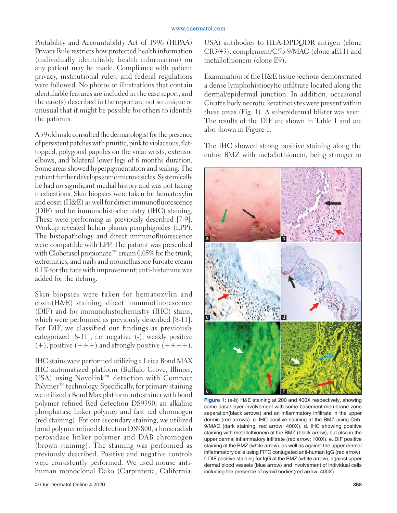Portability and Accountability Act of 1996 (HIPAA) Privacy Rule restricts how protected health information (individually identifiable health information) on any patient may be made. Compliance with patient privacy, institutional rules, and federal regulations were followed. No photos or illustrations that contain identifiable features are included in the case report, and the case(s) described in the report are not so unique or unusual that it might be possible for others to identify the patients.

A 59 old male consulted the dermatologist for the presence of persistent patches with pruritic, pink to violaceous, flattopped, polygonal papules on the volar wrists, extensor elbows, and bilateral lower legs of 6 months duration. Some areas showed hyperpigmentation and scaling. The patient further develops some microvesicles. Systemically he had no significant medial history and was not taking medications. Skin biopsies were taken for hematoxylin and eosin (H&E) as well for direct immunofluorescence (DIF) and for immunohistochemistry (IHC) staining. These were performing as previously described [7-9]. Workup revealed lichen planus pemphigoides (LPP). The histopathology and direct immunofluorescence were compatible with LPP. The patient was prescribed with Clobetasol propionate™ cream 0.05% for the trunk, extremities, and nails and momethasone furoate cream 0.1% for the face with improvement; anti-histamine was added for the itching.

Skin biopsies were taken for hematoxylin and eosin(H&E) staining, direct immunofluorescence (DIF) and for immunohistochemistry (IHC) stains, which were performed as previously described [8-11]. For DIF, we classified our findings as previously categorized [8-11], i.e. negative (-), weakly positive  $(+)$ , positive  $(+++)$  and strongly positive  $(+++)$ .

IHC stains were performed utilizing a Leica Bond MAX IHC automatized platform (Buffalo Grove, Illinois, USA) using Novolink™ detection with Compact Polymer™ technology. Specifically, for primary staining we utilized a Bond Max platform autostainer with bond polymer refined Red detection DS9390, an alkaline phosphatase linker polymer and fast red chromogen (red staining). For our secondary staining, we utilized bond polymer refined detection DS9800, a horseradish peroxidase linker polymer and DAB chromogen (brown staining). The staining was performed as previously described. Positive and negative controls were consistently performed. We used mouse antihuman monoclonal Dako (Carpinteria, California,

USA) antibodies to HLA-DPDQDR antigen (clone CR3/43), complement/C5b-9/MAC (clone aE11) and metallothionein (clone E9).

Examination of the H&E tissue sections demonstrated a dense lymphohistiocytic infiltrate located along the dermal/epidermal junction. In addition, occasional Civatte body necrotic keratinocytes were present within these areas (Fig. 1). A subepidermal blister was seen. The results of the DIF are shown in Table 1 and are also shown in Figure 1.

The IHC showed strong positive staining along the entire BMZ with metallothionein, being stronger in



**Figure 1:** (a-b) H&E staining at 200 and 400X respectively, showing some basal layer involvement with some basement membrane zone separation(black arrows) and an inflammatory infiltrate in the upper dermis (red arrows). c. IHC positive staining at the BMZ using C5b-9/MAC (dark staining, red arrow; 400X). d. IHC showing positive staining with metallothionein at the BMZ (black arrow), but also in the upper dermal inflammatory infiltrate (red arrow; 100X). e. DIF positive staining at the BMZ (white arrow), as well as against the upper dermal inflammatory cells using FITC conjugated anti-human IgG (red arrow). f. DIF positive staining for IgG at the BMZ (white arrow), against upper dermal blood vessels (blue arrow) and involvement of individual cells including the presence of cytoid bodies(red arrow; 400X).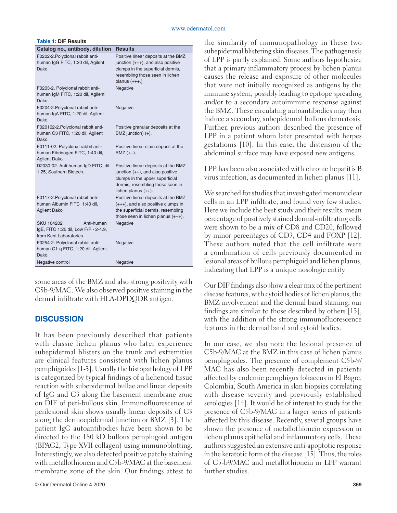#### www.odermatol.com

| <b>Table 1: DIF Results</b>             |                    |
|-----------------------------------------|--------------------|
| Catalog no., antibody, dilution Results |                    |
| E0002.0 Polyplanal rabbit anti-         | <b>Docitiva</b> li |

| F0202-2. Polyclonal rabbit anti-<br>human IgG FITC, 1:20 dil, Agilent<br>Dako.                     | Positive linear deposits at the BMZ<br>junction (+++), and also positive<br>clumps in the superficial dermis,<br>resembling those seen in lichen                            |
|----------------------------------------------------------------------------------------------------|-----------------------------------------------------------------------------------------------------------------------------------------------------------------------------|
|                                                                                                    | planus $(+++)$ .)                                                                                                                                                           |
| F0203-2. Polyclonal rabbit anti-<br>human IgM FITC, 1:20 dil, Agilent<br>Dako.                     | Negative                                                                                                                                                                    |
| F0204-2. Polyclonal rabbit anti-<br>human IgA FITC, 1:20 dil, Agilent<br>Dako.                     | Negative                                                                                                                                                                    |
| F020102-2. Polyclonal rabbit anti-<br>human C3 FITC, 1:20 dil, Agilent<br>Dako.                    | Positive granular deposits at the<br>BMZ junction) (+).                                                                                                                     |
| F0111-02. Polyclonal rabbit anti-<br>human Fibrinogen FITC, 1:40 dil,<br>Agilent Dako.             | Positive linear stain deposit at the<br>$BMZ (++)$ .                                                                                                                        |
| D2030-02. Anti-human IgD FITC, dil<br>1:25, Southern Biotech.                                      | Positive linear deposits at the BMZ<br>junction $(++)$ , and also positive<br>clumps in the upper superficial<br>dermis, resembling those seen in<br>lichen planus $(++)$ . |
| F0117-2. Polyclonal rabbit anti-<br>human Albumin FITC 1:40 dil,<br><b>Agilent Dako</b>            | Positive linear deposits at the BMZ<br>$(+++)$ , and also positive clumps in<br>the superficial dermis, resembling<br>those seen in lichen planus $(+++)$ .                 |
| <b>SKU 104202</b><br>Anti-human<br>IgE, FITC 1:25 dil, Low F/P - 2-4.9,<br>from Kent Laboratories. | Negative                                                                                                                                                                    |
| F0254-2. Polyclonal rabbit anti-<br>human C1-q FITC, 1:20 dil, Agilent<br>Dako.                    | Negative                                                                                                                                                                    |
| Negative control                                                                                   | Negative                                                                                                                                                                    |

some areas of the BMZ and also strong positivity with C5b-9/MAC. We also observed positive staining in the dermal infiltrate with HLA-DPDQDR antigen.

## **DISCUSSION**

It has been previously described that patients with classic lichen planus who later experience subepidermal blisters on the trunk and extremities are clinical features consistent with lichen planus pemphigoides [1-3]. Usually the histopathology of LPP is categorized by typical findings of a lichenoid tissue reaction with subepidermal bullae and linear deposits of IgG and C3 along the basement membrane zone on DIF of peri-bullous skin. Immunofluorescence of perilesional skin shows usually linear deposits of C3 along the dermoepidermal junction or BMZ [3]. The patient IgG autoantibodies have been shown to be directed to the 180 kD bullous pemphigoid antigen (BPAG2, Type XVII collagen) using immunoblotting. Interestingly, we also detected positive patchy staining with metallothionein and C5b-9/MAC at the basement membrane zone of the skin. Our findings attest to

the similarity of immunopathology in these two subepidermal blistering skin diseases. The pathogenesis of LPP is partly explained. Some authors hypothesize that a primary inflammatory process by lichen planus causes the release and exposure of other molecules that were not initially recognized as antigens by the immune system, possibly leading to epitope spreading and/or to a secondary autoimmune response against the BMZ. These circulating autoantibodies may then induce a secondary, subepidermal bullous dermatosis. Further, previous authors described the presence of LPP in a patient whom later presented with herpes gestationis [10]. In this case, the distension of the abdominal surface may have exposed new antigens.

LPP has been also associated with chronic hepatitis B virus infection, as documented in lichen planus [11].

We searched for studies that investigated mononuclear cells in an LPP infiltrate, and found very few studies. Here we include the best study and their results: mean percentage of positively stained dermal-infiltrating cells were shown to be a mix of CD8 and CD20, followed by minor percentages of CD3, CD4 and FOXP [12]. These authors noted that the cell infiltrate were a combination of cells previously documented in lesional areas of bullous pemphigoid and lichen planus, indicating that LPP is a unique nosologic entity.

Our DIF findings also show a clear mix of the pertinent disease features, with cytoid bodies of lichen planus, the BMZ involvement and the dermal band staining; our findings are similar to those described by others [13], with the addition of the strong immunofluorescence features in the dermal band and cytoid bodies.

 In our case, we also note the lesional presence of C5b-9/MAC at the BMZ in this case of lichen planus pemphigoides. The presence of complement C5b-9/ MAC has also been recently detected in patients affected by endemic pemphigus foliaceus in El Bagre, Colombia, South America in skin biopsies correlating with disease severity and previously established serologies [14]. It would be of interest to study for the presence of C5b-9/MAC in a larger series of patients affected by this disease. Recently, several groups have shown the presence of metallothionein expression in lichen planus epithelial and inflammatory cells. These authors suggested an extensive anti-apoptotic response in the keratotic form of the disease [15]. Thus, the roles of C5-b9/MAC and metallothionein in LPP warrant further studies.